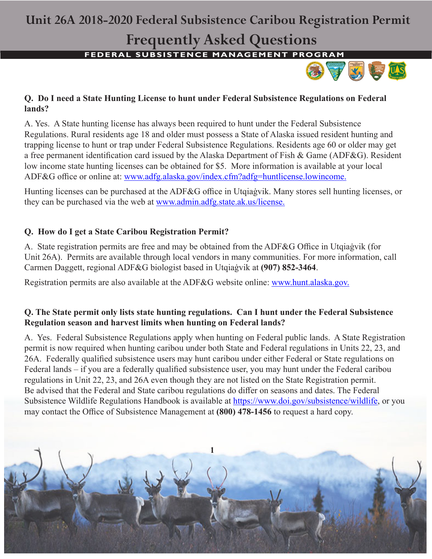## **Unit 26A 2018-2020 Federal Subsistence Caribou Registration Permit**

# **Frequently Asked Questions**

**FEDERAL SUBSISTENCE MANAGEMENT PROGRAM** 



### **Q. Do I need a State Hunting License to hunt under Federal Subsistence Regulations on Federal lands?**

A. Yes. A State hunting license has always been required to hunt under the Federal Subsistence Regulations. Rural residents age 18 and older must possess a State of Alaska issued resident hunting and trapping license to hunt or trap under Federal Subsistence Regulations. Residents age 60 or older may get a free permanent identification card issued by the Alaska Department of Fish & Game (ADF&G). Resident low income state hunting licenses can be obtained for \$5. More information is available at your local ADF&G office or online at: www.adfg.alaska.gov/index.cfm?adfg=huntlicense.lowincome.

Hunting licenses can be purchased at the ADF&G office in Utqiaġvik. Many stores sell hunting licenses, or they can be purchased via the web at www.admin.adfg.state.ak.us/license.

### **Q. How do I get a State Caribou Registration Permit?**

A. State registration permits are free and may be obtained from the ADF&G Office in Utqiaġvik (for Unit 26A). Permits are available through local vendors in many communities. For more information, call Carmen Daggett, regional ADF&G biologist based in Utqiaġvik at **(907) 852-3464**.

Registration permits are also available at the ADF&G website online: www.hunt.alaska.gov.

### **Q. The State permit only lists state hunting regulations. Can I hunt under the Federal Subsistence Regulation season and harvest limits when hunting on Federal lands?**

A. Yes. Federal Subsistence Regulations apply when hunting on Federal public lands. A State Registration permit is now required when hunting caribou under both State and Federal regulations in Units 22, 23, and 26A. Federally qualified subsistence users may hunt caribou under either Federal or State regulations on Federal lands – if you are a federally qualified subsistence user, you may hunt under the Federal caribou regulations in Unit 22, 23, and 26A even though they are not listed on the State Registration permit. Be advised that the Federal and State caribou regulations do differ on seasons and dates. The Federal Subsistence Wildlife Regulations Handbook is available at https://www.doi.gov/subsistence/wildlife, or you may contact the Office of Subsistence Management at **(800) 478-1456** to request a hard copy.